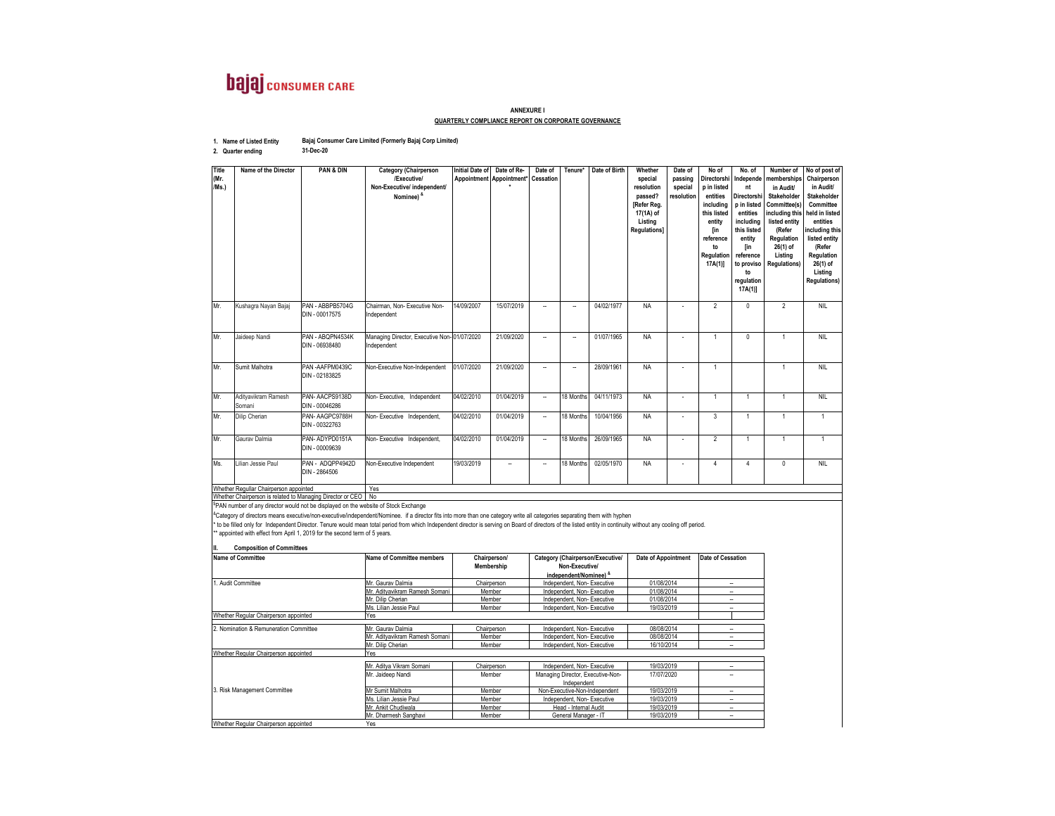## **bajaj** CONSUMER CARE

## **ANNEXURE IQUARTERLY COMPLIANCE REPORT ON CORPORATE GOVERNANCE**

**1. Name of Listed Entity Bajaj Consumer Care Limited (Formerly Bajaj Corp Limited)**

**31-Dec-20**

**2. Quarter ending**

| Title<br>(Mr.<br>/Ms.)                | Name of the Director                                                                                                                                                                               | <b>PAN &amp; DIN</b>               | <b>Category (Chairperson</b><br>/Executive/<br>Non-Executive/ independent/<br>Nominee) &                                                                                                                                                                                                                                                                                                                | <b>Initial Date of</b><br>Appointment | Date of Re-<br>Appointment* | Date of<br><b>Cessation</b>                                                                 | Tenure*                                                  | Date of Birth       | Whether<br>special<br>resolution<br>passed?<br>Refer Reg.<br>17(1A) of<br>Listing<br>Regulations] | Date of<br>passing<br>special<br>resolution | No of<br>Directorshi<br>p in listed<br>entities<br>including<br>this listed<br>entity<br>[in<br>reference<br>to<br>Regulation<br>17A(1) | No. of<br>Independe<br>nt<br><b>Directorsh</b><br>p in listed<br>entities<br>including<br>this listed<br>entity<br>[in<br>reference<br>to proviso<br>to<br>regulation<br>17A(1) | Number of<br>memberships<br>in Audit/<br>Stakeholder<br>Committee(s)<br>including this<br>listed entity<br>(Refer<br>Regulation<br>26(1) of<br>Listing<br><b>Regulations)</b> | No of post of<br>Chairperson<br>in Audit/<br><b>Stakeholder</b><br>Committee<br>held in listed<br>entities<br>ncluding this<br>listed entity<br>(Refer<br>Regulation<br>$26(1)$ of<br>Listing<br><b>Regulations)</b> |
|---------------------------------------|----------------------------------------------------------------------------------------------------------------------------------------------------------------------------------------------------|------------------------------------|---------------------------------------------------------------------------------------------------------------------------------------------------------------------------------------------------------------------------------------------------------------------------------------------------------------------------------------------------------------------------------------------------------|---------------------------------------|-----------------------------|---------------------------------------------------------------------------------------------|----------------------------------------------------------|---------------------|---------------------------------------------------------------------------------------------------|---------------------------------------------|-----------------------------------------------------------------------------------------------------------------------------------------|---------------------------------------------------------------------------------------------------------------------------------------------------------------------------------|-------------------------------------------------------------------------------------------------------------------------------------------------------------------------------|----------------------------------------------------------------------------------------------------------------------------------------------------------------------------------------------------------------------|
| Mr.                                   | Kushagra Nayan Bajaj                                                                                                                                                                               | PAN - ABBPB5704G<br>DIN - 00017575 | Chairman, Non- Executive Non-<br>ndependent                                                                                                                                                                                                                                                                                                                                                             | 14/09/2007                            | 15/07/2019                  | $\ddot{\phantom{1}}$                                                                        | $\overline{\phantom{m}}$                                 | 04/02/1977          | <b>NA</b>                                                                                         |                                             | $\overline{2}$                                                                                                                          | $\overline{0}$                                                                                                                                                                  | $\overline{2}$                                                                                                                                                                | <b>NIL</b>                                                                                                                                                                                                           |
| Mr.                                   | Jaideep Nandi                                                                                                                                                                                      | PAN - ABOPN4534K<br>DIN - 06938480 | Managing Director, Executive Non-01/07/2020<br>dependent                                                                                                                                                                                                                                                                                                                                                |                                       | 21/09/2020                  | ä,                                                                                          | ÷,                                                       | 01/07/1965          | <b>NA</b>                                                                                         | ä,                                          |                                                                                                                                         | $\overline{0}$                                                                                                                                                                  | $\mathbf{1}$                                                                                                                                                                  | <b>NIL</b>                                                                                                                                                                                                           |
| Mr.                                   | Sumit Malhotra                                                                                                                                                                                     | PAN-AAFPM0439C<br>DIN - 02183825   | <b>Von-Executive Non-Independent</b>                                                                                                                                                                                                                                                                                                                                                                    | 01/07/2020                            | 21/09/2020                  | ä,                                                                                          | ÷,                                                       | 28/09/1961          | <b>NA</b>                                                                                         |                                             |                                                                                                                                         |                                                                                                                                                                                 | 1                                                                                                                                                                             | <b>NIL</b>                                                                                                                                                                                                           |
| Mr.                                   | Adityavikram Ramesh<br>Somani                                                                                                                                                                      | PAN-AACPS9138D<br>DIN - 00046286   | Von-Executive, Independent                                                                                                                                                                                                                                                                                                                                                                              | 04/02/2010                            | 01/04/2019                  | $\ddot{\phantom{a}}$                                                                        | 18 Months                                                | 04/11/1973          | <b>NA</b>                                                                                         | ä,                                          | $\overline{1}$                                                                                                                          | $\overline{1}$                                                                                                                                                                  | $\mathbf{1}$                                                                                                                                                                  | <b>NIL</b>                                                                                                                                                                                                           |
| Mr.                                   | Dilip Cherian                                                                                                                                                                                      | PAN-AAGPC9788H<br>DIN - 00322763   | Von-Executive Independent,                                                                                                                                                                                                                                                                                                                                                                              | 04/02/2010                            | 01/04/2019                  | $\ddot{\phantom{a}}$                                                                        | 18 Months                                                | 10/04/1956          | <b>NA</b>                                                                                         |                                             | 3                                                                                                                                       | 1                                                                                                                                                                               | $\mathbf{1}$                                                                                                                                                                  | $\mathbf{1}$                                                                                                                                                                                                         |
| Mr.                                   | Gauray Dalmia                                                                                                                                                                                      | PAN-ADYPD0151A<br>DIN - 00009639   | Von-Executive Independent,                                                                                                                                                                                                                                                                                                                                                                              | 04/02/2010                            | 01/04/2019                  | u,                                                                                          | 18 Months                                                | 26/09/1965          | <b>NA</b>                                                                                         | ä,                                          | $\overline{2}$                                                                                                                          | $\overline{1}$                                                                                                                                                                  | $\mathbf{1}$                                                                                                                                                                  | $\mathbf{1}$                                                                                                                                                                                                         |
| Ms.                                   | Lilian Jessie Paul                                                                                                                                                                                 | PAN - ADQPP4942D<br>DIN - 2864506  | <b>Non-Executive Independent</b>                                                                                                                                                                                                                                                                                                                                                                        | 19/03/2019                            | ä,                          | L,                                                                                          | 18 Months                                                | 02/05/1970          | <b>NA</b>                                                                                         |                                             | 4                                                                                                                                       | $\overline{4}$                                                                                                                                                                  | 0                                                                                                                                                                             | <b>NIL</b>                                                                                                                                                                                                           |
|                                       | Whether Regullar Chairperson appointed                                                                                                                                                             |                                    | Yes                                                                                                                                                                                                                                                                                                                                                                                                     |                                       |                             |                                                                                             |                                                          |                     |                                                                                                   |                                             |                                                                                                                                         |                                                                                                                                                                                 |                                                                                                                                                                               |                                                                                                                                                                                                                      |
|                                       | Whether Chairperson is related to Managing Director or CEO                                                                                                                                         |                                    | No                                                                                                                                                                                                                                                                                                                                                                                                      |                                       |                             |                                                                                             |                                                          |                     |                                                                                                   |                                             |                                                                                                                                         |                                                                                                                                                                                 |                                                                                                                                                                               |                                                                                                                                                                                                                      |
|                                       | PAN number of any director would not be displayed on the website of Stock Exchange<br>appointed with effect from April 1, 2019 for the second term of 5 years.<br><b>Composition of Committees</b> |                                    | <sup>8</sup> Category of directors means executive/non-executive/independent/Nominee. if a director fits into more than one category write all categories separating them with hyphen<br>to be filled only for Independent Director. Tenure would mean total period from which Independent director is serving on Board of directors of the listed entity in continuity without any cooling off period. |                                       |                             |                                                                                             |                                                          |                     |                                                                                                   |                                             |                                                                                                                                         |                                                                                                                                                                                 |                                                                                                                                                                               |                                                                                                                                                                                                                      |
| <b>Name of Committee</b>              |                                                                                                                                                                                                    | Name of Committee members          | Chairperson/<br>Membership                                                                                                                                                                                                                                                                                                                                                                              |                                       |                             | Category (Chairperson/Executive/<br>Non-Executive/<br>independent/Nominee) <sup>&amp;</sup> |                                                          | Date of Appointment |                                                                                                   | Date of Cessation                           |                                                                                                                                         |                                                                                                                                                                                 |                                                                                                                                                                               |                                                                                                                                                                                                                      |
| 1. Audit Committee                    |                                                                                                                                                                                                    |                                    | Ar. Gaurav Dalmia                                                                                                                                                                                                                                                                                                                                                                                       | Chairperson                           |                             | Independent, Non-Executive                                                                  |                                                          |                     | 01/08/2014                                                                                        |                                             | $\sim$                                                                                                                                  |                                                                                                                                                                                 |                                                                                                                                                                               |                                                                                                                                                                                                                      |
|                                       |                                                                                                                                                                                                    |                                    | Vr. Adityavikram Ramesh Somani                                                                                                                                                                                                                                                                                                                                                                          | Member                                |                             | Independent, Non-Executive                                                                  |                                                          |                     | 01/08/2014                                                                                        |                                             | $\ddot{\phantom{1}}$                                                                                                                    |                                                                                                                                                                                 |                                                                                                                                                                               |                                                                                                                                                                                                                      |
|                                       |                                                                                                                                                                                                    |                                    | Ar. Dilip Cherian                                                                                                                                                                                                                                                                                                                                                                                       | Member                                |                             | Independent, Non-Executive                                                                  |                                                          |                     | 01/08/2014                                                                                        |                                             | ä,<br>÷.                                                                                                                                |                                                                                                                                                                                 |                                                                                                                                                                               |                                                                                                                                                                                                                      |
| Whether Regular Chairperson appointed |                                                                                                                                                                                                    |                                    | 19/03/2019<br>Ms. Lilian Jessie Paul<br>Member<br>Independent, Non-Executive<br>Yes                                                                                                                                                                                                                                                                                                                     |                                       |                             |                                                                                             |                                                          |                     |                                                                                                   |                                             |                                                                                                                                         |                                                                                                                                                                                 |                                                                                                                                                                               |                                                                                                                                                                                                                      |
|                                       |                                                                                                                                                                                                    |                                    |                                                                                                                                                                                                                                                                                                                                                                                                         |                                       |                             |                                                                                             |                                                          |                     |                                                                                                   |                                             |                                                                                                                                         |                                                                                                                                                                                 |                                                                                                                                                                               |                                                                                                                                                                                                                      |
|                                       | 2. Nomination & Remuneration Committee                                                                                                                                                             |                                    | Ar. Gaurav Dalmia<br>Ar. Adityavikram Ramesh Somani                                                                                                                                                                                                                                                                                                                                                     |                                       | Chairperson<br>Member       |                                                                                             | Independent, Non-Executive<br>Independent, Non-Executive |                     | 08/08/2014<br>08/08/2014                                                                          |                                             |                                                                                                                                         | $\sim$<br>$\overline{\phantom{a}}$                                                                                                                                              |                                                                                                                                                                               |                                                                                                                                                                                                                      |
|                                       |                                                                                                                                                                                                    |                                    | Mr. Dilip Cherian                                                                                                                                                                                                                                                                                                                                                                                       |                                       | Member                      |                                                                                             | Independent, Non-Executive                               |                     | 16/10/2014                                                                                        |                                             |                                                                                                                                         | $\sim$                                                                                                                                                                          |                                                                                                                                                                               |                                                                                                                                                                                                                      |

Mr. Aditya Vikram Somani Mr. Jaideep Nandi Mr Sumit Malhotra Ms. Lilian Jessie Paul Mr. Ankit Chudiwala Mr. Dharmesh Sanghavi 3. Risk Management Committee Member Managing Director, Executive-Non-Independent 17/07/2020 -- Independent, Non- Executive Whether Regular Chairperson appointed Non-Executive-Non-Independent Independent, Non- Executive Head - Internal Audit General Manager - IT Whether Regular Chairperson appointed <u>Member</u><br>Member Member MemberYesChairperson<br>Member 19/03/2019 19/03/2019 19/03/2019 19/03/2019 19/03/2019Yes